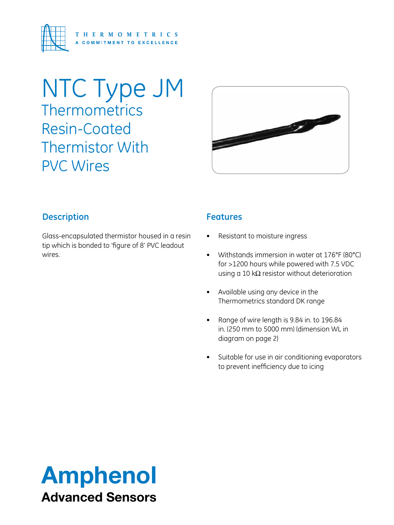

## NTC Type JM **Thermometrics** Resin-Coated Thermistor With PVC Wires



#### **Description**

Glass-encapsulated thermistor housed in a resin tip which is bonded to 'figure of 8' PVC leadout wires.

#### **Features**

- Resistant to moisture ingress
- • Withstands immersion in water at 176°F (80°C) for >1200 hours while powered with 7.5 VDC using a 10 kΩ resistor without deterioration
- • Available using any device in the Thermometrics standard DK range
- • Range of wire length is 9.84 in. to 196.84 in. (250 mm to 5000 mm) (dimension WL in diagram on page 2)
- • Suitable for use in air conditioning evaporators to prevent inefficiency due to icing

# Amphenol Advanced Sensors